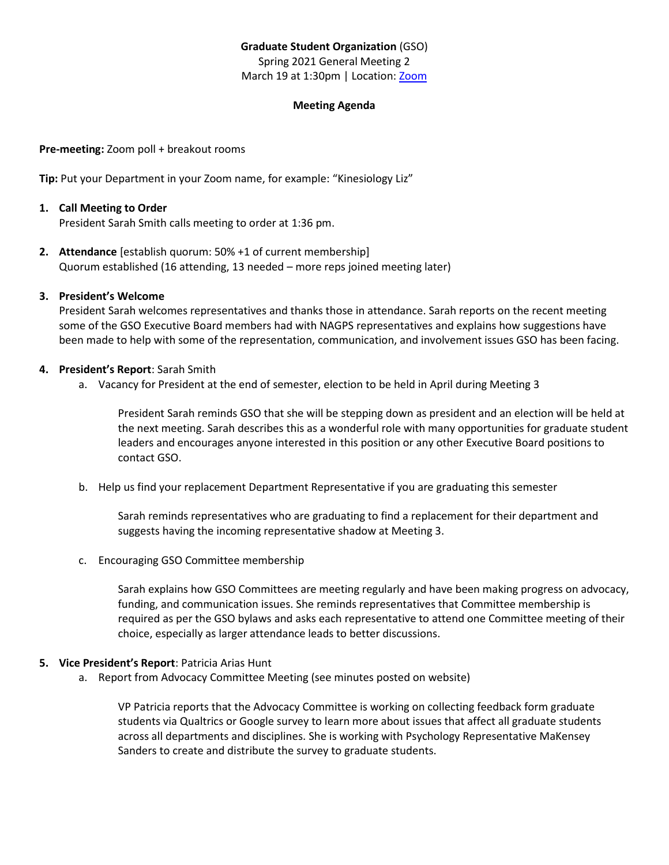# **Graduate Student Organization** (GSO)

Spring 2021 General Meeting 2 March 19 at 1:30pm | Location: [Zoom](https://ullafayette.zoom.us/j/4465632768)

## **Meeting Agenda**

**Pre-meeting:** Zoom poll + breakout rooms

**Tip:** Put your Department in your Zoom name, for example: "Kinesiology Liz"

#### **1. Call Meeting to Order**

President Sarah Smith calls meeting to order at 1:36 pm.

**2. Attendance** [establish quorum: 50% +1 of current membership] Quorum established (16 attending, 13 needed – more reps joined meeting later)

#### **3. President's Welcome**

President Sarah welcomes representatives and thanks those in attendance. Sarah reports on the recent meeting some of the GSO Executive Board members had with NAGPS representatives and explains how suggestions have been made to help with some of the representation, communication, and involvement issues GSO has been facing.

#### **4. President's Report**: Sarah Smith

a. Vacancy for President at the end of semester, election to be held in April during Meeting 3

President Sarah reminds GSO that she will be stepping down as president and an election will be held at the next meeting. Sarah describes this as a wonderful role with many opportunities for graduate student leaders and encourages anyone interested in this position or any other Executive Board positions to contact GSO.

b. Help us find your replacement Department Representative if you are graduating this semester

Sarah reminds representatives who are graduating to find a replacement for their department and suggests having the incoming representative shadow at Meeting 3.

c. Encouraging GSO Committee membership

Sarah explains how GSO Committees are meeting regularly and have been making progress on advocacy, funding, and communication issues. She reminds representatives that Committee membership is required as per the GSO bylaws and asks each representative to attend one Committee meeting of their choice, especially as larger attendance leads to better discussions.

#### **5. Vice President's Report**: Patricia Arias Hunt

a. Report from Advocacy Committee Meeting (see minutes posted on website)

VP Patricia reports that the Advocacy Committee is working on collecting feedback form graduate students via Qualtrics or Google survey to learn more about issues that affect all graduate students across all departments and disciplines. She is working with Psychology Representative MaKensey Sanders to create and distribute the survey to graduate students.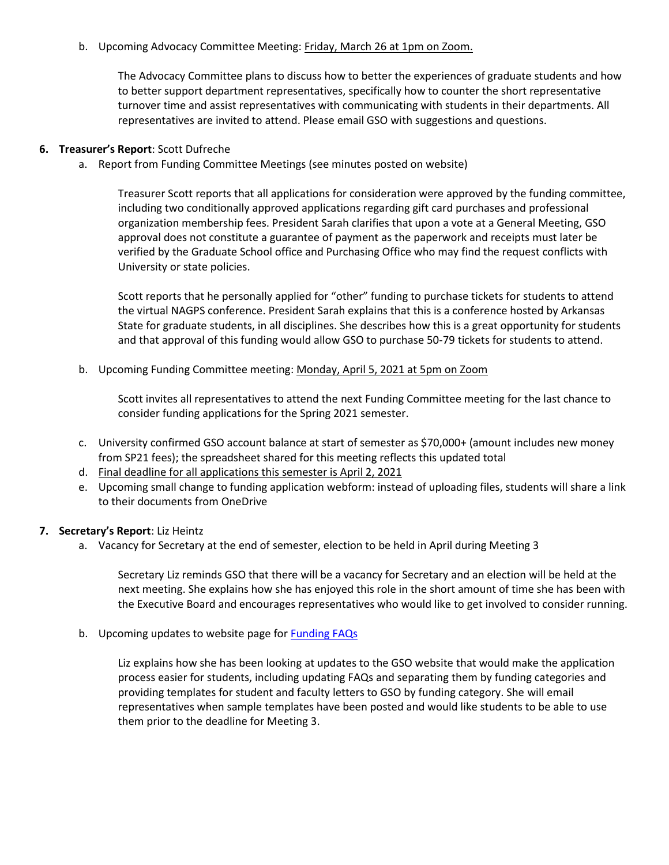b. Upcoming Advocacy Committee Meeting: Friday, March 26 at 1pm on Zoom.

The Advocacy Committee plans to discuss how to better the experiences of graduate students and how to better support department representatives, specifically how to counter the short representative turnover time and assist representatives with communicating with students in their departments. All representatives are invited to attend. Please email GSO with suggestions and questions.

# **6. Treasurer's Report**: Scott Dufreche

a. Report from Funding Committee Meetings (see minutes posted on website)

Treasurer Scott reports that all applications for consideration were approved by the funding committee, including two conditionally approved applications regarding gift card purchases and professional organization membership fees. President Sarah clarifies that upon a vote at a General Meeting, GSO approval does not constitute a guarantee of payment as the paperwork and receipts must later be verified by the Graduate School office and Purchasing Office who may find the request conflicts with University or state policies.

Scott reports that he personally applied for "other" funding to purchase tickets for students to attend the virtual NAGPS conference. President Sarah explains that this is a conference hosted by Arkansas State for graduate students, in all disciplines. She describes how this is a great opportunity for students and that approval of this funding would allow GSO to purchase 50-79 tickets for students to attend.

b. Upcoming Funding Committee meeting: Monday, April 5, 2021 at 5pm on Zoom

Scott invites all representatives to attend the next Funding Committee meeting for the last chance to consider funding applications for the Spring 2021 semester.

- c. University confirmed GSO account balance at start of semester as \$70,000+ (amount includes new money from SP21 fees); the spreadsheet shared for this meeting reflects this updated total
- d. Final deadline for all applications this semester is April 2, 2021
- e. Upcoming small change to funding application webform: instead of uploading files, students will share a link to their documents from OneDrive

## **7. Secretary's Report**: Liz Heintz

a. Vacancy for Secretary at the end of semester, election to be held in April during Meeting 3

Secretary Liz reminds GSO that there will be a vacancy for Secretary and an election will be held at the next meeting. She explains how she has enjoyed this role in the short amount of time she has been with the Executive Board and encourages representatives who would like to get involved to consider running.

b. Upcoming updates to website page for [Funding FAQs](https://gso.louisiana.edu/node/27)

Liz explains how she has been looking at updates to the GSO website that would make the application process easier for students, including updating FAQs and separating them by funding categories and providing templates for student and faculty letters to GSO by funding category. She will email representatives when sample templates have been posted and would like students to be able to use them prior to the deadline for Meeting 3.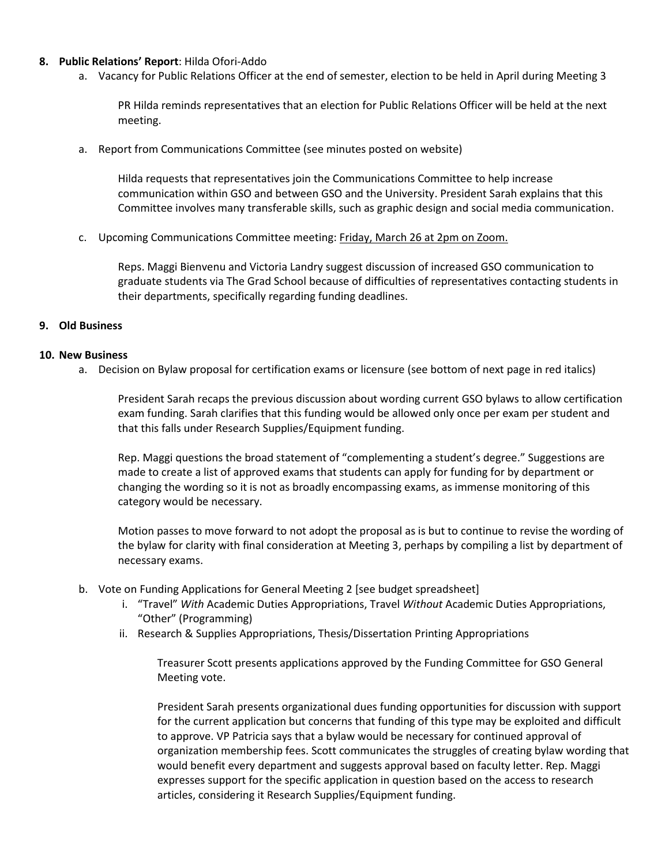#### **8. Public Relations' Report**: Hilda Ofori-Addo

a. Vacancy for Public Relations Officer at the end of semester, election to be held in April during Meeting 3

PR Hilda reminds representatives that an election for Public Relations Officer will be held at the next meeting.

a. Report from Communications Committee (see minutes posted on website)

Hilda requests that representatives join the Communications Committee to help increase communication within GSO and between GSO and the University. President Sarah explains that this Committee involves many transferable skills, such as graphic design and social media communication.

c. Upcoming Communications Committee meeting: Friday, March 26 at 2pm on Zoom.

Reps. Maggi Bienvenu and Victoria Landry suggest discussion of increased GSO communication to graduate students via The Grad School because of difficulties of representatives contacting students in their departments, specifically regarding funding deadlines.

#### **9. Old Business**

## **10. New Business**

a. Decision on Bylaw proposal for certification exams or licensure (see bottom of next page in red italics)

President Sarah recaps the previous discussion about wording current GSO bylaws to allow certification exam funding. Sarah clarifies that this funding would be allowed only once per exam per student and that this falls under Research Supplies/Equipment funding.

Rep. Maggi questions the broad statement of "complementing a student's degree." Suggestions are made to create a list of approved exams that students can apply for funding for by department or changing the wording so it is not as broadly encompassing exams, as immense monitoring of this category would be necessary.

Motion passes to move forward to not adopt the proposal as is but to continue to revise the wording of the bylaw for clarity with final consideration at Meeting 3, perhaps by compiling a list by department of necessary exams.

- b. Vote on Funding Applications for General Meeting 2 [see budget spreadsheet]
	- i. "Travel" *With* Academic Duties Appropriations, Travel *Without* Academic Duties Appropriations, "Other" (Programming)
	- ii. Research & Supplies Appropriations, Thesis/Dissertation Printing Appropriations

Treasurer Scott presents applications approved by the Funding Committee for GSO General Meeting vote.

President Sarah presents organizational dues funding opportunities for discussion with support for the current application but concerns that funding of this type may be exploited and difficult to approve. VP Patricia says that a bylaw would be necessary for continued approval of organization membership fees. Scott communicates the struggles of creating bylaw wording that would benefit every department and suggests approval based on faculty letter. Rep. Maggi expresses support for the specific application in question based on the access to research articles, considering it Research Supplies/Equipment funding.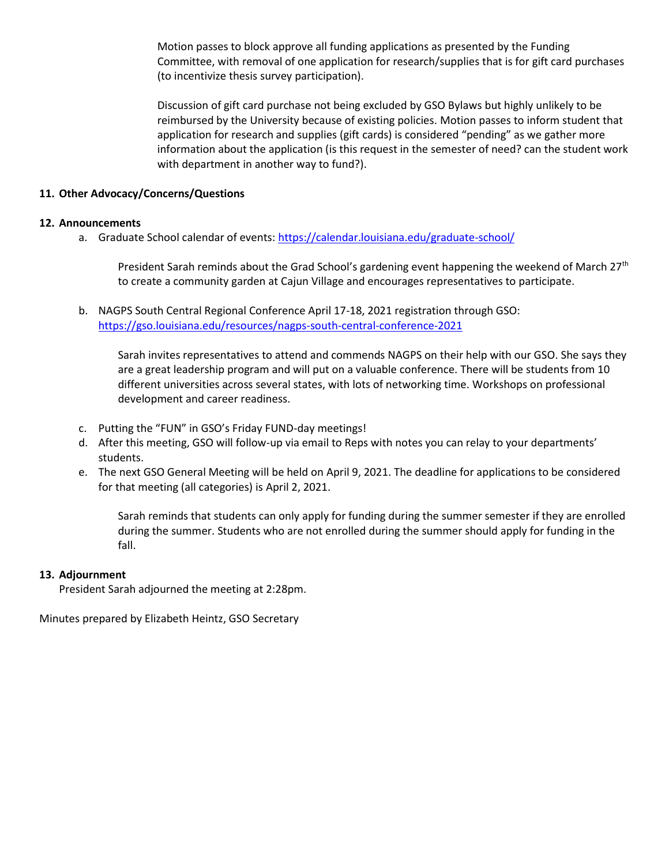Motion passes to block approve all funding applications as presented by the Funding Committee, with removal of one application for research/supplies that is for gift card purchases (to incentivize thesis survey participation).

Discussion of gift card purchase not being excluded by GSO Bylaws but highly unlikely to be reimbursed by the University because of existing policies. Motion passes to inform student that application for research and supplies (gift cards) is considered "pending" as we gather more information about the application (is this request in the semester of need? can the student work with department in another way to fund?).

# **11. Other Advocacy/Concerns/Questions**

## **12. Announcements**

a. Graduate School calendar of events[: https://calendar.louisiana.edu/graduate-school/](https://calendar.louisiana.edu/graduate-school/)

President Sarah reminds about the Grad School's gardening event happening the weekend of March  $27<sup>th</sup>$ to create a community garden at Cajun Village and encourages representatives to participate.

b. NAGPS South Central Regional Conference April 17-18, 2021 registration through GSO: <https://gso.louisiana.edu/resources/nagps-south-central-conference-2021>

Sarah invites representatives to attend and commends NAGPS on their help with our GSO. She says they are a great leadership program and will put on a valuable conference. There will be students from 10 different universities across several states, with lots of networking time. Workshops on professional development and career readiness.

- c. Putting the "FUN" in GSO's Friday FUND-day meetings!
- d. After this meeting, GSO will follow-up via email to Reps with notes you can relay to your departments' students.
- e. The next GSO General Meeting will be held on April 9, 2021. The deadline for applications to be considered for that meeting (all categories) is April 2, 2021.

Sarah reminds that students can only apply for funding during the summer semester if they are enrolled during the summer. Students who are not enrolled during the summer should apply for funding in the fall.

## **13. Adjournment**

President Sarah adjourned the meeting at 2:28pm.

Minutes prepared by Elizabeth Heintz, GSO Secretary